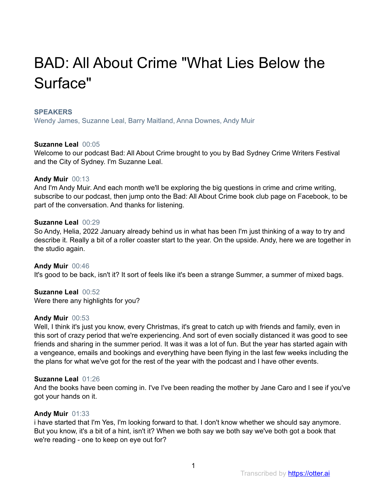# BAD: All About Crime "What Lies Below the Surface"

## **SPEAKERS**

Wendy James, Suzanne Leal, Barry Maitland, Anna Downes, Andy Muir

# **Suzanne Leal** 00:05

Welcome to our podcast Bad: All About Crime brought to you by Bad Sydney Crime Writers Festival and the City of Sydney. I'm Suzanne Leal.

# **Andy Muir** 00:13

And I'm Andy Muir. And each month we'll be exploring the big questions in crime and crime writing, subscribe to our podcast, then jump onto the Bad: All About Crime book club page on Facebook, to be part of the conversation. And thanks for listening.

## **Suzanne Leal** 00:29

So Andy, Helia, 2022 January already behind us in what has been I'm just thinking of a way to try and describe it. Really a bit of a roller coaster start to the year. On the upside. Andy, here we are together in the studio again.

**Andy Muir** 00:46 It's good to be back, isn't it? It sort of feels like it's been a strange Summer, a summer of mixed bags.

**Suzanne Leal** 00:52 Were there any highlights for you?

# **Andy Muir** 00:53

Well, I think it's just you know, every Christmas, it's great to catch up with friends and family, even in this sort of crazy period that we're experiencing. And sort of even socially distanced it was good to see friends and sharing in the summer period. It was it was a lot of fun. But the year has started again with a vengeance, emails and bookings and everything have been flying in the last few weeks including the the plans for what we've got for the rest of the year with the podcast and I have other events.

## **Suzanne Leal** 01:26

And the books have been coming in. I've I've been reading the mother by Jane Caro and I see if you've got your hands on it.

# **Andy Muir** 01:33

i have started that I'm Yes, I'm looking forward to that. I don't know whether we should say anymore. But you know, it's a bit of a hint, isn't it? When we both say we both say we've both got a book that we're reading - one to keep on eye out for?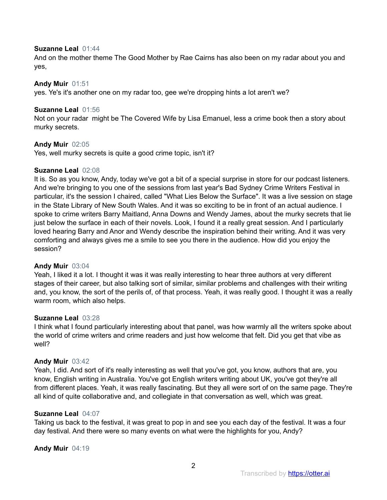## **Suzanne Leal** 01:44

And on the mother theme The Good Mother by Rae Cairns has also been on my radar about you and yes,

# **Andy Muir** 01:51

yes. Ye's it's another one on my radar too, gee we're dropping hints a lot aren't we?

# **Suzanne Leal** 01:56

Not on your radar might be The Covered Wife by Lisa Emanuel, less a crime book then a story about murky secrets.

# **Andy Muir** 02:05

Yes, well murky secrets is quite a good crime topic, isn't it?

# **Suzanne Leal** 02:08

It is. So as you know, Andy, today we've got a bit of a special surprise in store for our podcast listeners. And we're bringing to you one of the sessions from last year's Bad Sydney Crime Writers Festival in particular, it's the session I chaired, called "What Lies Below the Surface". It was a live session on stage in the State Library of New South Wales. And it was so exciting to be in front of an actual audience. I spoke to crime writers Barry Maitland, Anna Downs and Wendy James, about the murky secrets that lie just below the surface in each of their novels. Look, I found it a really great session. And I particularly loved hearing Barry and Anor and Wendy describe the inspiration behind their writing. And it was very comforting and always gives me a smile to see you there in the audience. How did you enjoy the session?

## **Andy Muir** 03:04

Yeah, I liked it a lot. I thought it was it was really interesting to hear three authors at very different stages of their career, but also talking sort of similar, similar problems and challenges with their writing and, you know, the sort of the perils of, of that process. Yeah, it was really good. I thought it was a really warm room, which also helps.

## **Suzanne Leal** 03:28

I think what I found particularly interesting about that panel, was how warmly all the writers spoke about the world of crime writers and crime readers and just how welcome that felt. Did you get that vibe as well?

## **Andy Muir** 03:42

Yeah, I did. And sort of it's really interesting as well that you've got, you know, authors that are, you know, English writing in Australia. You've got English writers writing about UK, you've got they're all from different places. Yeah, it was really fascinating. But they all were sort of on the same page. They're all kind of quite collaborative and, and collegiate in that conversation as well, which was great.

## **Suzanne Leal** 04:07

Taking us back to the festival, it was great to pop in and see you each day of the festival. It was a four day festival. And there were so many events on what were the highlights for you, Andy?

## **Andy Muir** 04:19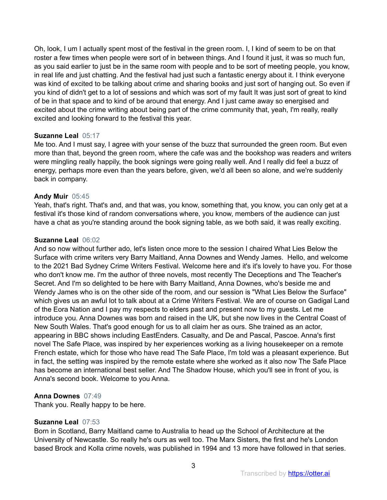Oh, look, I um I actually spent most of the festival in the green room. I, I kind of seem to be on that roster a few times when people were sort of in between things. And I found it just, it was so much fun, as you said earlier to just be in the same room with people and to be sort of meeting people, you know, in real life and just chatting. And the festival had just such a fantastic energy about it. I think everyone was kind of excited to be talking about crime and sharing books and just sort of hanging out. So even if you kind of didn't get to a lot of sessions and which was sort of my fault It was just sort of great to kind of be in that space and to kind of be around that energy. And I just came away so energised and excited about the crime writing about being part of the crime community that, yeah, I'm really, really excited and looking forward to the festival this year.

# **Suzanne Leal** 05:17

Me too. And I must say, I agree with your sense of the buzz that surrounded the green room. But even more than that, beyond the green room, where the cafe was and the bookshop was readers and writers were mingling really happily, the book signings were going really well. And I really did feel a buzz of energy, perhaps more even than the years before, given, we'd all been so alone, and we're suddenly back in company.

# **Andy Muir** 05:45

Yeah, that's right. That's and, and that was, you know, something that, you know, you can only get at a festival it's those kind of random conversations where, you know, members of the audience can just have a chat as you're standing around the book signing table, as we both said, it was really exciting.

# **Suzanne Leal** 06:02

And so now without further ado, let's listen once more to the session I chaired What Lies Below the Surface with crime writers very Barry Maitland, Anna Downes and Wendy James. Hello, and welcome to the 2021 Bad Sydney Crime Writers Festival. Welcome here and it's it's lovely to have you. For those who don't know me. I'm the author of three novels, most recently The Deceptions and The Teacher's Secret. And I'm so delighted to be here with Barry Maitland, Anna Downes, who's beside me and Wendy James who is on the other side of the room, and our session is "What Lies Below the Surface" which gives us an awful lot to talk about at a Crime Writers Festival. We are of course on Gadigal Land of the Eora Nation and I pay my respects to elders past and present now to my guests. Let me introduce you. Anna Downes was born and raised in the UK, but she now lives in the Central Coast of New South Wales. That's good enough for us to all claim her as ours. She trained as an actor, appearing in BBC shows including EastEnders. Casualty, and De and Pascal, Pascoe. Anna's first novel The Safe Place, was inspired by her experiences working as a living housekeeper on a remote French estate, which for those who have read The Safe Place, I'm told was a pleasant experience. But in fact, the setting was inspired by the remote estate where she worked as it also now The Safe Place has become an international best seller. And The Shadow House, which you'll see in front of you, is Anna's second book. Welcome to you Anna.

## **Anna Downes** 07:49

Thank you. Really happy to be here.

# **Suzanne Leal** 07:53

Born in Scotland, Barry Maitland came to Australia to head up the School of Architecture at the University of Newcastle. So really he's ours as well too. The Marx Sisters, the first and he's London based Brock and Kolla crime novels, was published in 1994 and 13 more have followed in that series.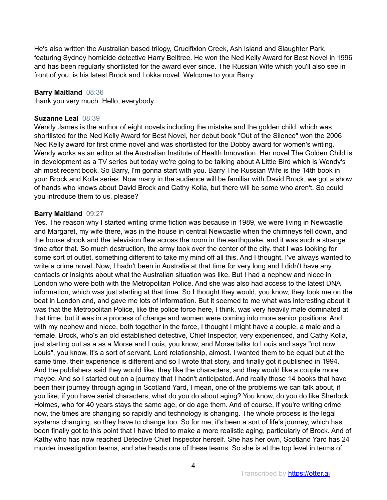He's also written the Australian based trilogy, Crucifixion Creek, Ash Island and Slaughter Park, featuring Sydney homicide detective Harry Belltree. He won the Ned Kelly Award for Best Novel in 1996 and has been regularly shortlisted for the award ever since. The Russian Wife which you'll also see in front of you, is his latest Brock and Lokka novel. Welcome to your Barry.

# **Barry Maitland** 08:36

thank you very much. Hello, everybody.

# **Suzanne Leal** 08:39

Wendy James is the author of eight novels including the mistake and the golden child, which was shortlisted for the Ned Kelly Award for Best Novel, her debut book "Out of the Silence" won the 2006 Ned Kelly award for first crime novel and was shortlisted for the Dobby award for women's writing. Wendy works as an editor at the Australian Institute of Health Innovation. Her novel The Golden Child is in development as a TV series but today we're going to be talking about A Little Bird which is Wendy's ah most recent book. So Barry, I'm gonna start with you. Barry The Russian Wife is the 14th book in your Brock and Kolla series. Now many in the audience will be familiar with David Brock, we got a show of hands who knows about David Brock and Cathy Kolla, but there will be some who aren't. So could you introduce them to us, please?

# **Barry Maitland** 09:27

Yes. The reason why I started writing crime fiction was because in 1989, we were living in Newcastle and Margaret, my wife there, was in the house in central Newcastle when the chimneys fell down, and the house shook and the television flew across the room in the earthquake, and it was such a strange time after that. So much destruction, the army took over the center of the city. that I was looking for some sort of outlet, something different to take my mind off all this. And I thought, I've always wanted to write a crime novel. Now, I hadn't been in Australia at that time for very long and I didn't have any contacts or insights about what the Australian situation was like. But I had a nephew and niece in London who were both with the Metropolitan Police. And she was also had access to the latest DNA information, which was just starting at that time. So I thought they would, you know, they took me on the beat in London and, and gave me lots of information. But it seemed to me what was interesting about it was that the Metropolitan Police, like the police force here, I think, was very heavily male dominated at that time, but it was in a process of change and women were coming into more senior positions. And with my nephew and niece, both together in the force, I thought I might have a couple, a male and a female. Brock, who's an old established detective, Chief Inspector, very experienced, and Cathy Kolla, just starting out as a as a Morse and Louis, you know, and Morse talks to Louis and says "not now Louis", you know, it's a sort of servant, Lord relationship, almost. I wanted them to be equal but at the same time, their experience is different and so I wrote that story, and finally got it published in 1994. And the publishers said they would like, they like the characters, and they would like a couple more maybe. And so I started out on a journey that I hadn't anticipated. And really those 14 books that have been their journey through aging in Scotland Yard, I mean, one of the problems we can talk about, if you like, if you have serial characters, what do you do about aging? You know, do you do like Sherlock Holmes, who for 40 years stays the same age, or do age them. And of course, if you're writing crime now, the times are changing so rapidly and technology is changing. The whole process is the legal systems changing, so they have to change too. So for me, it's been a sort of life's journey, which has been finally got to this point that I have tried to make a more realistic aging, particularly of Brock. And of Kathy who has now reached Detective Chief Inspector herself. She has her own, Scotland Yard has 24 murder investigation teams, and she heads one of these teams. So she is at the top level in terms of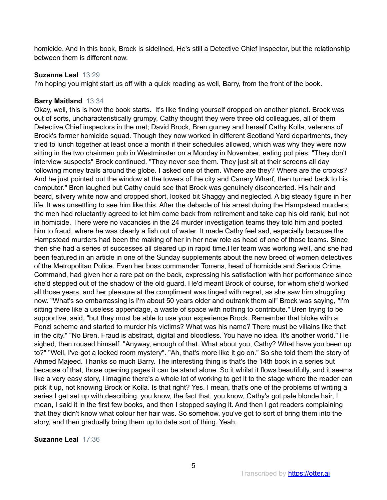homicide. And in this book, Brock is sidelined. He's still a Detective Chief Inspector, but the relationship between them is different now.

# **Suzanne Leal** 13:29

I'm hoping you might start us off with a quick reading as well, Barry, from the front of the book.

# **Barry Maitland** 13:34

Okay, well, this is how the book starts. It's like finding yourself dropped on another planet. Brock was out of sorts, uncharacteristically grumpy, Cathy thought they were three old colleagues, all of them Detective Chief inspectors in the met; David Brock, Bren gurney and herself Cathy Kolla, veterans of Brock's former homicide squad. Though they now worked in different Scotland Yard departments, they tried to lunch together at least once a month if their schedules allowed, which was why they were now sitting in the two chairmen pub in Westminster on a Monday in November, eating pot pies. "They don't interview suspects" Brock continued. "They never see them. They just sit at their screens all day following money trails around the globe. I asked one of them. Where are they? Where are the crooks? And he just pointed out the window at the towers of the city and Canary Wharf, then turned back to his computer." Bren laughed but Cathy could see that Brock was genuinely disconcerted. His hair and beard, silvery white now and cropped short, looked bit Shaggy and neglected. A big steady figure in her life. It was unsettling to see him like this. After the debacle of his arrest during the Hampstead murders, the men had reluctantly agreed to let him come back from retirement and take cap his old rank, but not in homicide. There were no vacancies in the 24 murder investigation teams they told him and posted him to fraud, where he was clearly a fish out of water. It made Cathy feel sad, especially because the Hampstead murders had been the making of her in her new role as head of one of those teams. Since then she had a series of successes all cleared up in rapid time.Her team was working well, and she had been featured in an article in one of the Sunday supplements about the new breed of women detectives of the Metropolitan Police. Even her boss commander Torrens, head of homicide and Serious Crime Command, had given her a rare pat on the back, expressing his satisfaction with her performance since she'd stepped out of the shadow of the old guard. He'd meant Brock of course, for whom she'd worked all those years, and her pleasure at the compliment was tinged with regret, as she saw him struggling now. "What's so embarrassing is I'm about 50 years older and outrank them all" Brock was saying, "I'm sitting there like a useless appendage, a waste of space with nothing to contribute." Bren trying to be supportive, said, "but they must be able to use your experience Brock. Remember that bloke with a Ponzi scheme and started to murder his victims? What was his name? There must be villains like that in the city." "No Bren. Fraud is abstract, digital and bloodless. You have no idea. It's another world." He sighed, then roused himself. "Anyway, enough of that. What about you, Cathy? What have you been up to?" "Well, I've got a locked room mystery". "Ah, that's more like it go on." So she told them the story of Ahmed Majeed. Thanks so much Barry. The interesting thing is that's the 14th book in a series but because of that, those opening pages it can be stand alone. So it whilst it flows beautifully, and it seems like a very easy story, I imagine there's a whole lot of working to get it to the stage where the reader can pick it up, not knowing Brock or Kolla. Is that right? Yes. I mean, that's one of the problems of writing a series I get set up with describing, you know, the fact that, you know, Cathy's got pale blonde hair, I mean, I said it in the first few books, and then I stopped saying it. And then I got readers complaining that they didn't know what colour her hair was. So somehow, you've got to sort of bring them into the story, and then gradually bring them up to date sort of thing. Yeah,

# **Suzanne Leal** 17:36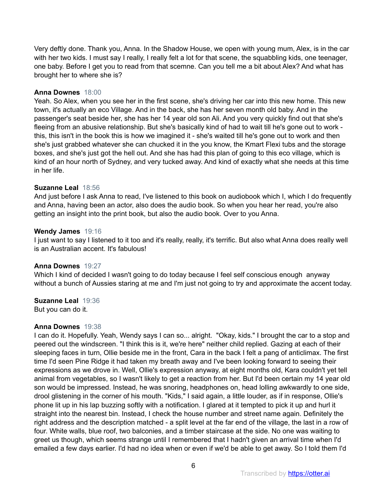Very deftly done. Thank you, Anna. In the Shadow House, we open with young mum, Alex, is in the car with her two kids. I must say I really, I really felt a lot for that scene, the squabbling kids, one teenager, one baby. Before I get you to read from that scemne. Can you tell me a bit about Alex? And what has brought her to where she is?

# **Anna Downes** 18:00

Yeah. So Alex, when you see her in the first scene, she's driving her car into this new home. This new town, it's actually an eco Village. And in the back, she has her seven month old baby. And in the passenger's seat beside her, she has her 14 year old son Ali. And you very quickly find out that she's fleeing from an abusive relationship. But she's basically kind of had to wait till he's gone out to work this, this isn't in the book this is how we imagined it - she's waited till he's gone out to work and then she's just grabbed whatever she can chucked it in the you know, the Kmart Flexi tubs and the storage boxes, and she's just got the hell out. And she has had this plan of going to this eco village, which is kind of an hour north of Sydney, and very tucked away. And kind of exactly what she needs at this time in her life.

# **Suzanne Leal** 18:56

And just before I ask Anna to read, I've listened to this book on audiobook which I, which I do frequently and Anna, having been an actor, also does the audio book. So when you hear her read, you're also getting an insight into the print book, but also the audio book. Over to you Anna.

## **Wendy James** 19:16

I just want to say I listened to it too and it's really, really, it's terrific. But also what Anna does really well is an Australian accent. It's fabulous!

# **Anna Downes** 19:27

Which I kind of decided I wasn't going to do today because I feel self conscious enough anyway without a bunch of Aussies staring at me and I'm just not going to try and approximate the accent today.

# **Suzanne Leal** 19:36

But you can do it.

# **Anna Downes** 19:38

I can do it. Hopefully. Yeah, Wendy says I can so... alright. "Okay, kids." I brought the car to a stop and peered out the windscreen. "I think this is it, we're here" neither child replied. Gazing at each of their sleeping faces in turn, Ollie beside me in the front, Cara in the back I felt a pang of anticlimax. The first time I'd seen Pine Ridge it had taken my breath away and I've been looking forward to seeing their expressions as we drove in. Well, Ollie's expression anyway, at eight months old, Kara couldn't yet tell animal from vegetables, so I wasn't likely to get a reaction from her. But I'd been certain my 14 year old son would be impressed. Instead, he was snoring, headphones on, head lolling awkwardly to one side, drool glistening in the corner of his mouth. "Kids," I said again, a little louder, as if in response, Ollie's phone lit up in his lap buzzing softly with a notification. I glared at it tempted to pick it up and hurl it straight into the nearest bin. Instead, I check the house number and street name again. Definitely the right address and the description matched - a split level at the far end of the village, the last in a row of four. White walls, blue roof, two balconies, and a timber staircase at the side. No one was waiting to greet us though, which seems strange until I remembered that I hadn't given an arrival time when I'd emailed a few days earlier. I'd had no idea when or even if we'd be able to get away. So I told them I'd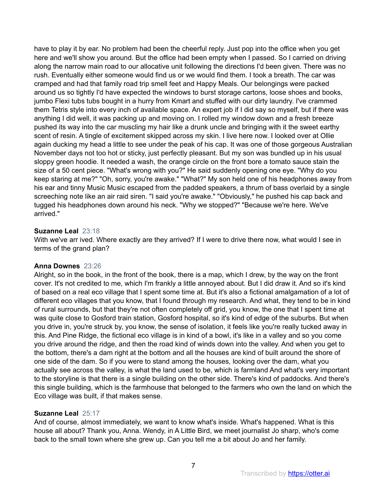have to play it by ear. No problem had been the cheerful reply. Just pop into the office when you get here and we'll show you around. But the office had been empty when I passed. So I carried on driving along the narrow main road to our allocative unit following the directions I'd been given. There was no rush. Eventually either someone would find us or we would find them. I took a breath. The car was cramped and had that family road trip smell feet and Happy Meals. Our belongings were packed around us so tightly I'd have expected the windows to burst storage cartons, loose shoes and books, jumbo Flexi tubs tubs bought in a hurry from Kmart and stuffed with our dirty laundry. I've crammed them Tetris style into every inch of available space. An expert job if I did say so myself, but if there was anything I did well, it was packing up and moving on. I rolled my window down and a fresh breeze pushed its way into the car muscling my hair like a drunk uncle and bringing with it the sweet earthy scent of resin. A tingle of excitement skipped across my skin. I live here now. I looked over at Ollie again ducking my head a little to see under the peak of his cap. It was one of those gorgeous Australian November days not too hot or sticky, just perfectly pleasant. But my son was bundled up in his usual sloppy green hoodie. It needed a wash, the orange circle on the front bore a tomato sauce stain the size of a 50 cent piece. "What's wrong with you?" He said suddenly opening one eye. "Why do you keep staring at me?" "Oh, sorry, you're awake." "What?" My son held one of his headphones away from his ear and tinny Music Music escaped from the padded speakers, a thrum of bass overlaid by a single screeching note like an air raid siren. "I said you're awake." "Obviously," he pushed his cap back and tugged his headphones down around his neck. "Why we stopped?" "Because we're here. We've arrived."

# **Suzanne Leal** 23:18

With we've arr ived. Where exactly are they arrived? If I were to drive there now, what would I see in terms of the grand plan?

# **Anna Downes** 23:26

Alright, so in the book, in the front of the book, there is a map, which I drew, by the way on the front cover. It's not credited to me, which I'm frankly a little annoyed about. But I did draw it. And so it's kind of based on a real eco village that I spent some time at. But it's also a fictional amalgamation of a lot of different eco villages that you know, that I found through my research. And what, they tend to be in kind of rural surrounds, but that they're not often completely off grid, you know, the one that I spent time at was quite close to Gosford train station, Gosford hospital, so it's kind of edge of the suburbs. But when you drive in, you're struck by, you know, the sense of isolation, it feels like you're really tucked away in this. And Pine Ridge, the fictional eco village is in kind of a bowl, it's like in a valley and so you come you drive around the ridge, and then the road kind of winds down into the valley. And when you get to the bottom, there's a dam right at the bottom and all the houses are kind of built around the shore of one side of the dam. So if you were to stand among the houses, looking over the dam, what you actually see across the valley, is what the land used to be, which is farmland And what's very important to the storyline is that there is a single building on the other side. There's kind of paddocks. And there's this single building, which is the farmhouse that belonged to the farmers who own the land on which the Eco village was built, if that makes sense.

# **Suzanne Leal** 25:17

And of course, almost immediately, we want to know what's inside. What's happened. What is this house all about? Thank you, Anna. Wendy, in A Little Bird, we meet journalist Jo sharp, who's come back to the small town where she grew up. Can you tell me a bit about Jo and her family.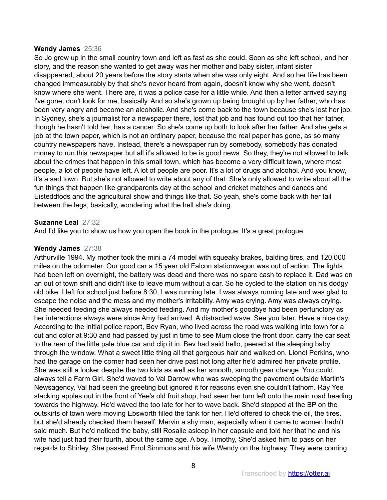## **Wendy James** 25:36

So Jo grew up in the small country town and left as fast as she could. Soon as she left school, and her story, and the reason she wanted to get away was her mother and baby sister, infant sister disappeared, about 20 years before the story starts when she was only eight. And so her life has been changed immeasurably by that she's never heard from again, doesn't know why she went, doesn't know where she went. There are, it was a police case for a little while. And then a letter arrived saying I've gone, don't look for me, basically. And so she's grown up being brought up by her father, who has been very angry and become an alcoholic. And she's come back to the town because she's lost her job. In Sydney, she's a journalist for a newspaper there, lost that job and has found out too that her father, though he hasn't told her, has a cancer. So she's come up both to look after her father. And she gets a job at the town paper, which is not an ordinary paper, because the real paper has gone, as so many country newspapers have. Instead, there's a newspaper run by somebody, somebody has donated money to run this newspaper but all it's allowed to be is good news. So they, they're not allowed to talk about the crimes that happen in this small town, which has become a very difficult town, where most people, a lot of people have left. A lot of people are poor. It's a lot of drugs and alcohol. And you know, it's a sad town. But she's not allowed to write about any of that. She's only allowed to write about all the fun things that happen like grandparents day at the school and cricket matches and dances and Eisteddfods and the agricultural show and things like that. So yeah, she's come back with her tail between the legs, basically, wondering what the hell she's doing.

# **Suzanne Leal** 27:32

And I'd like you to show us how you open the book in the prologue. It's a great prologue.

# **Wendy James** 27:38

Arthurville 1994. My mother took the mini a 74 model with squeaky brakes, balding tires, and 120,000 miles on the odometer. Our good car a 15 year old Falcon stationwagon was out of action. The lights had been left on overnight, the battery was dead and there was no spare cash to replace it. Dad was on an out of town shift and didn't like to leave mum without a car. So he cycled to the station on his dodgy old bike. I left for school just before 8:30, I was running late. I was always running late and was glad to escape the noise and the mess and my mother's irritability. Amy was crying. Amy was always crying. She needed feeding she always needed feeding. And my mother's goodbye had been perfunctory as her interactions always were since Amy had arrived. A distracted wave. See you later. Have a nice day. According to the initial police report, Bev Ryan, who lived across the road was walking into town for a cut and color at 9:30 and had passed by just in time to see Mum close the front door, carry the car seat to the rear of the little pale blue car and clip it in. Bev had said hello, peered at the sleeping baby through the window. What a sweet little thing all that gorgeous hair and walked on. Lionel Perkins, who had the garage on the corner had seen her drive past not long after he'd admired her private profile. She was still a looker despite the two kids as well as her smooth, smooth gear change. You could always tell a Farm Girl. She'd waved to Val Darrow who was sweeping the pavement outside Martin's Newsagency, Val had seen the greeting but ignored it for reasons even she couldn't fathom. Ray Yee stacking apples out in the front of Yee's old fruit shop, had seen her turn left onto the main road heading towards the highway. He'd waved the too late for her to wave back. She'd stopped at the BP on the outskirts of town were moving Ebsworth filled the tank for her. He'd offered to check the oil, the tires, but she'd already checked them herself. Mervin a shy man, especially when it came to women hadn't said much. But he'd noticed the baby, still Rosalie asleep in her capsule and told her that he and his wife had just had their fourth, about the same age. A boy. Timothy, She'd asked him to pass on her regards to Shirley. She passed Errol Simmons and his wife Wendy on the highway. They were coming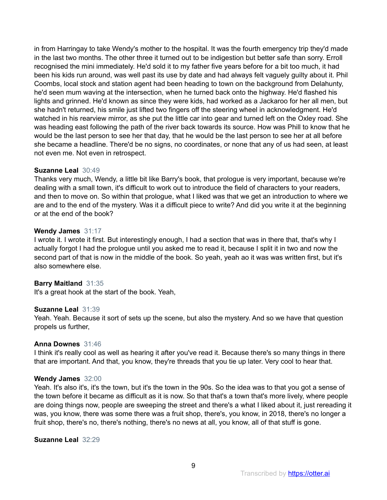in from Harringay to take Wendy's mother to the hospital. It was the fourth emergency trip they'd made in the last two months. The other three it turned out to be indigestion but better safe than sorry. Erroll recognised the mini immediately. He'd sold it to my father five years before for a bit too much, it had been his kids run around, was well past its use by date and had always felt vaguely guilty about it. Phil Coombs, local stock and station agent had been heading to town on the background from Delahunty, he'd seen mum waving at the intersection, when he turned back onto the highway. He'd flashed his lights and grinned. He'd known as since they were kids, had worked as a Jackaroo for her all men, but she hadn't returned, his smile just lifted two fingers off the steering wheel in acknowledgment. He'd watched in his rearview mirror, as she put the little car into gear and turned left on the Oxley road. She was heading east following the path of the river back towards its source. How was Phill to know that he would be the last person to see her that day, that he would be the last person to see her at all before she became a headline. There'd be no signs, no coordinates, or none that any of us had seen, at least not even me. Not even in retrospect.

## **Suzanne Leal** 30:49

Thanks very much, Wendy, a little bit like Barry's book, that prologue is very important, because we're dealing with a small town, it's difficult to work out to introduce the field of characters to your readers, and then to move on. So within that prologue, what I liked was that we get an introduction to where we are and to the end of the mystery. Was it a difficult piece to write? And did you write it at the beginning or at the end of the book?

#### **Wendy James** 31:17

I wrote it. I wrote it first. But interestingly enough, I had a section that was in there that, that's why I actually forgot I had the prologue until you asked me to read it, because I split it in two and now the second part of that is now in the middle of the book. So yeah, yeah ao it was was written first, but it's also somewhere else.

## **Barry Maitland** 31:35

It's a great hook at the start of the book. Yeah,

#### **Suzanne Leal** 31:39

Yeah. Yeah. Because it sort of sets up the scene, but also the mystery. And so we have that question propels us further,

#### **Anna Downes** 31:46

I think it's really cool as well as hearing it after you've read it. Because there's so many things in there that are important. And that, you know, they're threads that you tie up later. Very cool to hear that.

#### **Wendy James** 32:00

Yeah. It's also it's, it's the town, but it's the town in the 90s. So the idea was to that you got a sense of the town before it became as difficult as it is now. So that that's a town that's more lively, where people are doing things now, people are sweeping the street and there's a what I liked about it, just rereading it was, you know, there was some there was a fruit shop, there's, you know, in 2018, there's no longer a fruit shop, there's no, there's nothing, there's no news at all, you know, all of that stuff is gone.

#### **Suzanne Leal** 32:29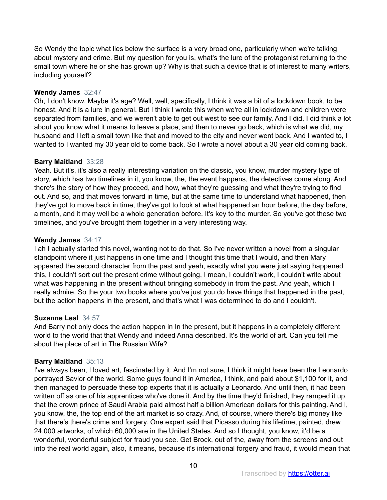So Wendy the topic what lies below the surface is a very broad one, particularly when we're talking about mystery and crime. But my question for you is, what's the lure of the protagonist returning to the small town where he or she has grown up? Why is that such a device that is of interest to many writers, including yourself?

# **Wendy James** 32:47

Oh, I don't know. Maybe it's age? Well, well, specifically, I think it was a bit of a lockdown book, to be honest. And it is a lure in general. But I think I wrote this when we're all in lockdown and children were separated from families, and we weren't able to get out west to see our family. And I did, I did think a lot about you know what it means to leave a place, and then to never go back, which is what we did, my husband and I left a small town like that and moved to the city and never went back. And I wanted to, I wanted to I wanted my 30 year old to come back. So I wrote a novel about a 30 year old coming back.

# **Barry Maitland** 33:28

Yeah. But it's, it's also a really interesting variation on the classic, you know, murder mystery type of story, which has two timelines in it, you know, the, the event happens, the detectives come along. And there's the story of how they proceed, and how, what they're guessing and what they're trying to find out. And so, and that moves forward in time, but at the same time to understand what happened, then they've got to move back in time, they've got to look at what happened an hour before, the day before, a month, and it may well be a whole generation before. It's key to the murder. So you've got these two timelines, and you've brought them together in a very interesting way.

# **Wendy James** 34:17

I ah I actually started this novel, wanting not to do that. So I've never written a novel from a singular standpoint where it just happens in one time and I thought this time that I would, and then Mary appeared the second character from the past and yeah, exactly what you were just saying happened this, I couldn't sort out the present crime without going, I mean, I couldn't work, I couldn't write about what was happening in the present without bringing somebody in from the past. And yeah, which I really admire. So the your two books where you've just you do have things that happened in the past, but the action happens in the present, and that's what I was determined to do and I couldn't.

# **Suzanne Leal** 34:57

And Barry not only does the action happen in In the present, but it happens in a completely different world to the world that that Wendy and indeed Anna described. It's the world of art. Can you tell me about the place of art in The Russian Wife?

# **Barry Maitland** 35:13

I've always been, I loved art, fascinated by it. And I'm not sure, I think it might have been the Leonardo portrayed Savior of the world. Some guys found it in America, I think, and paid about \$1,100 for it, and then managed to persuade these top experts that it is actually a Leonardo. And until then, it had been written off as one of his apprentices who've done it. And by the time they'd finished, they ramped it up, that the crown prince of Saudi Arabia paid almost half a billion American dollars for this painting. And I, you know, the, the top end of the art market is so crazy. And, of course, where there's big money like that there's there's crime and forgery. One expert said that Picasso during his lifetime, painted, drew 24,000 artworks, of which 60,000 are in the United States. And so I thought, you know, it'd be a wonderful, wonderful subject for fraud you see. Get Brock, out of the, away from the screens and out into the real world again, also, it means, because it's international forgery and fraud, it would mean that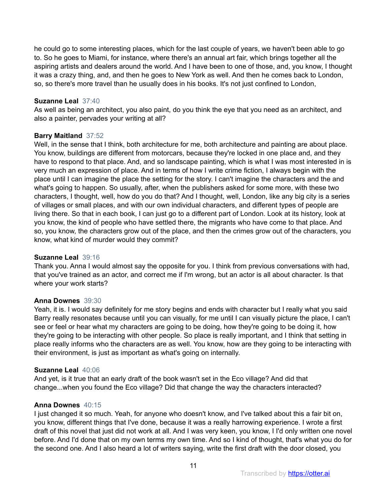he could go to some interesting places, which for the last couple of years, we haven't been able to go to. So he goes to Miami, for instance, where there's an annual art fair, which brings together all the aspiring artists and dealers around the world. And I have been to one of those, and, you know, I thought it was a crazy thing, and, and then he goes to New York as well. And then he comes back to London, so, so there's more travel than he usually does in his books. It's not just confined to London,

# **Suzanne Leal** 37:40

As well as being an architect, you also paint, do you think the eye that you need as an architect, and also a painter, pervades your writing at all?

# **Barry Maitland** 37:52

Well, in the sense that I think, both architecture for me, both architecture and painting are about place. You know, buildings are different from motorcars, because they're locked in one place and, and they have to respond to that place. And, and so landscape painting, which is what I was most interested in is very much an expression of place. And in terms of how I write crime fiction, I always begin with the place until I can imagine the place the setting for the story. I can't imagine the characters and the and what's going to happen. So usually, after, when the publishers asked for some more, with these two characters, I thought, well, how do you do that? And I thought, well, London, like any big city is a series of villages or small places, and with our own individual characters, and different types of people are living there. So that in each book, I can just go to a different part of London. Look at its history, look at you know, the kind of people who have settled there, the migrants who have come to that place. And so, you know, the characters grow out of the place, and then the crimes grow out of the characters, you know, what kind of murder would they commit?

## **Suzanne Leal** 39:16

Thank you. Anna I would almost say the opposite for you. I think from previous conversations with had, that you've trained as an actor, and correct me if I'm wrong, but an actor is all about character. Is that where your work starts?

# **Anna Downes** 39:30

Yeah, it is. I would say definitely for me story begins and ends with character but I really what you said Barry really resonates because until you can visually, for me until I can visually picture the place, I can't see or feel or hear what my characters are going to be doing, how they're going to be doing it, how they're going to be interacting with other people. So place is really important, and I think that setting in place really informs who the characters are as well. You know, how are they going to be interacting with their environment, is just as important as what's going on internally.

## **Suzanne Leal** 40:06

And yet, is it true that an early draft of the book wasn't set in the Eco village? And did that change...when you found the Eco village? Did that change the way the characters interacted?

# **Anna Downes** 40:15

I just changed it so much. Yeah, for anyone who doesn't know, and I've talked about this a fair bit on, you know, different things that I've done, because it was a really harrowing experience. I wrote a first draft of this novel that just did not work at all. And I was very keen, you know, I I'd only written one novel before. And I'd done that on my own terms my own time. And so I kind of thought, that's what you do for the second one. And I also heard a lot of writers saying, write the first draft with the door closed, you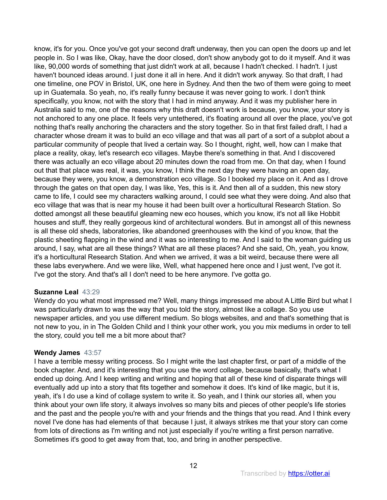know, it's for you. Once you've got your second draft underway, then you can open the doors up and let people in. So I was like, Okay, have the door closed, don't show anybody got to do it myself. And it was like, 90,000 words of something that just didn't work at all, because I hadn't checked. I hadn't. I just haven't bounced ideas around. I just done it all in here. And it didn't work anyway. So that draft, I had one timeline, one POV in Bristol, UK, one here in Sydney. And then the two of them were going to meet up in Guatemala. So yeah, no, it's really funny because it was never going to work. I don't think specifically, you know, not with the story that I had in mind anyway. And it was my publisher here in Australia said to me, one of the reasons why this draft doesn't work is because, you know, your story is not anchored to any one place. It feels very untethered, it's floating around all over the place, you've got nothing that's really anchoring the characters and the story together. So in that first failed draft, I had a character whose dream it was to build an eco village and that was all part of a sort of a subplot about a particular community of people that lived a certain way. So I thought, right, well, how can I make that place a reality, okay, let's research eco villages. Maybe there's something in that. And I discovered there was actually an eco village about 20 minutes down the road from me. On that day, when I found out that that place was real, it was, you know, I think the next day they were having an open day, because they were, you know, a demonstration eco village. So I booked my place on it. And as I drove through the gates on that open day, I was like, Yes, this is it. And then all of a sudden, this new story came to life, I could see my characters walking around, I could see what they were doing. And also that eco village that was that is near my house it had been built over a horticultural Research Station. So dotted amongst all these beautiful gleaming new eco houses, which you know, it's not all like Hobbit houses and stuff, they really gorgeous kind of architectural wonders. But in amongst all of this newness is all these old sheds, laboratories, like abandoned greenhouses with the kind of you know, that the plastic sheeting flapping in the wind and it was so interesting to me. And I said to the woman guiding us around, I say, what are all these things? What are all these places? And she said, Oh, yeah, you know, it's a horticultural Research Station. And when we arrived, it was a bit weird, because there were all these labs everywhere. And we were like, Well, what happened here once and I just went, I've got it. I've got the story. And that's all I don't need to be here anymore. I've gotta go.

# **Suzanne Leal** 43:29

Wendy do you what most impressed me? Well, many things impressed me about A Little Bird but what I was particularly drawn to was the way that you told the story, almost like a collage. So you use newspaper articles, and you use different medium. So blogs websites, and and that's something that is not new to you, in in The Golden Child and I think your other work, you you mix mediums in order to tell the story, could you tell me a bit more about that?

## **Wendy James** 43:57

I have a terrible messy writing process. So I might write the last chapter first, or part of a middle of the book chapter. And, and it's interesting that you use the word collage, because basically, that's what I ended up doing. And I keep writing and writing and hoping that all of these kind of disparate things will eventually add up into a story that fits together and somehow it does. It's kind of like magic, but it is, yeah, it's I do use a kind of collage system to write it. So yeah, and I think our stories all, when you think about your own life story, it always involves so many bits and pieces of other people's life stories and the past and the people you're with and your friends and the things that you read. And I think every novel I've done has had elements of that because I just, it always strikes me that your story can come from lots of directions as I'm writing and not just especially if you're writing a first person narrative. Sometimes it's good to get away from that, too, and bring in another perspective.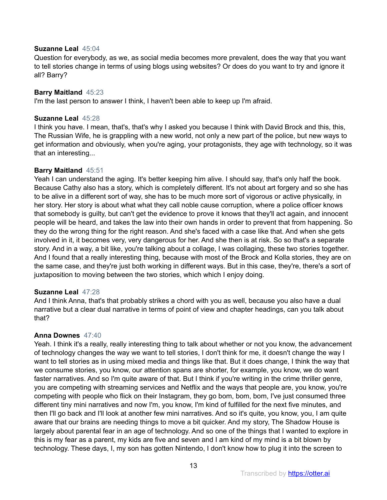# **Suzanne Leal** 45:04

Question for everybody, as we, as social media becomes more prevalent, does the way that you want to tell stories change in terms of using blogs using websites? Or does do you want to try and ignore it all? Barry?

# **Barry Maitland** 45:23

I'm the last person to answer I think, I haven't been able to keep up I'm afraid.

# **Suzanne Leal** 45:28

I think you have. I mean, that's, that's why I asked you because I think with David Brock and this, this, The Russian Wife, he is grappling with a new world, not only a new part of the police, but new ways to get information and obviously, when you're aging, your protagonists, they age with technology, so it was that an interesting...

# **Barry Maitland** 45:51

Yeah I can understand the aging. It's better keeping him alive. I should say, that's only half the book. Because Cathy also has a story, which is completely different. It's not about art forgery and so she has to be alive in a different sort of way, she has to be much more sort of vigorous or active physically, in her story. Her story is about what what they call noble cause corruption, where a police officer knows that somebody is guilty, but can't get the evidence to prove it knows that they'll act again, and innocent people will be heard, and takes the law into their own hands in order to prevent that from happening. So they do the wrong thing for the right reason. And she's faced with a case like that. And when she gets involved in it, it becomes very, very dangerous for her. And she then is at risk. So so that's a separate story. And in a way, a bit like, you're talking about a collage, I was collaging, these two stories together. And I found that a really interesting thing, because with most of the Brock and Kolla stories, they are on the same case, and they're just both working in different ways. But in this case, they're, there's a sort of juxtaposition to moving between the two stories, which which I enjoy doing.

# **Suzanne Leal** 47:28

And I think Anna, that's that probably strikes a chord with you as well, because you also have a dual narrative but a clear dual narrative in terms of point of view and chapter headings, can you talk about that?

## **Anna Downes** 47:40

Yeah. I think it's a really, really interesting thing to talk about whether or not you know, the advancement of technology changes the way we want to tell stories, I don't think for me, it doesn't change the way I want to tell stories as in using mixed media and things like that. But it does change, I think the way that we consume stories, you know, our attention spans are shorter, for example, you know, we do want faster narratives. And so I'm quite aware of that. But I think if you're writing in the crime thriller genre, you are competing with streaming services and Netflix and the ways that people are, you know, you're competing with people who flick on their Instagram, they go bom, bom, bom, I've just consumed three different tiny mini narratives and now I'm, you know, I'm kind of fulfilled for the next five minutes, and then I'll go back and I'll look at another few mini narratives. And so it's quite, you know, you, I am quite aware that our brains are needing things to move a bit quicker. And my story, The Shadow House is largely about parental fear in an age of technology. And so one of the things that I wanted to explore in this is my fear as a parent, my kids are five and seven and I am kind of my mind is a bit blown by technology. These days, I, my son has gotten Nintendo, I don't know how to plug it into the screen to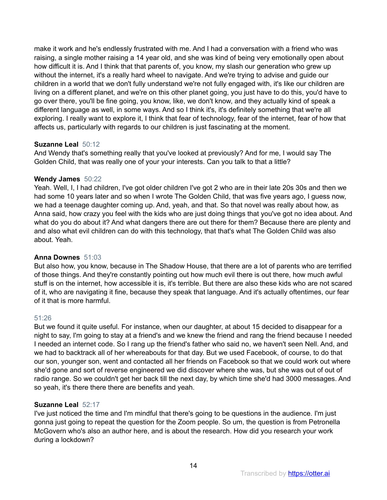make it work and he's endlessly frustrated with me. And I had a conversation with a friend who was raising, a single mother raising a 14 year old, and she was kind of being very emotionally open about how difficult it is. And I think that that parents of, you know, my slash our generation who grew up without the internet, it's a really hard wheel to navigate. And we're trying to advise and guide our children in a world that we don't fully understand we're not fully engaged with, it's like our children are living on a different planet, and we're on this other planet going, you just have to do this, you'd have to go over there, you'll be fine going, you know, like, we don't know, and they actually kind of speak a different language as well, in some ways. And so I think it's, it's definitely something that we're all exploring. I really want to explore it, I think that fear of technology, fear of the internet, fear of how that affects us, particularly with regards to our children is just fascinating at the moment.

# **Suzanne Leal** 50:12

And Wendy that's something really that you've looked at previously? And for me, I would say The Golden Child, that was really one of your your interests. Can you talk to that a little?

# **Wendy James** 50:22

Yeah. Well, I, I had children, I've got older children I've got 2 who are in their late 20s 30s and then we had some 10 years later and so when I wrote The Golden Child, that was five years ago, I guess now, we had a teenage daughter coming up. And, yeah, and that. So that novel was really about how, as Anna said, how crazy you feel with the kids who are just doing things that you've got no idea about. And what do you do about it? And what dangers there are out there for them? Because there are plenty and and also what evil children can do with this technology, that that's what The Golden Child was also about. Yeah.

# **Anna Downes** 51:03

But also how, you know, because in The Shadow House, that there are a lot of parents who are terrified of those things. And they're constantly pointing out how much evil there is out there, how much awful stuff is on the internet, how accessible it is, it's terrible. But there are also these kids who are not scared of it, who are navigating it fine, because they speak that language. And it's actually oftentimes, our fear of it that is more harmful.

# 51:26

But we found it quite useful. For instance, when our daughter, at about 15 decided to disappear for a night to say, I'm going to stay at a friend's and we knew the friend and rang the friend because I needed I needed an internet code. So I rang up the friend's father who said no, we haven't seen Nell. And, and we had to backtrack all of her whereabouts for that day. But we used Facebook, of course, to do that our son, younger son, went and contacted all her friends on Facebook so that we could work out where she'd gone and sort of reverse engineered we did discover where she was, but she was out of out of radio range. So we couldn't get her back till the next day, by which time she'd had 3000 messages. And so yeah, it's there there there are benefits and yeah.

# **Suzanne Leal** 52:17

I've just noticed the time and I'm mindful that there's going to be questions in the audience. I'm just gonna just going to repeat the question for the Zoom people. So um, the question is from Petronella McGovern who's also an author here, and is about the research. How did you research your work during a lockdown?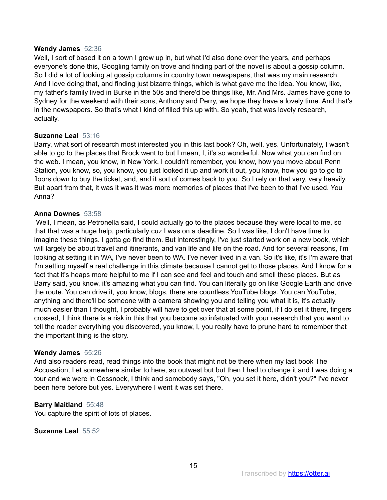## **Wendy James** 52:36

Well, I sort of based it on a town I grew up in, but what I'd also done over the years, and perhaps everyone's done this, Googling family on trove and finding part of the novel is about a gossip column. So I did a lot of looking at gossip columns in country town newspapers, that was my main research. And I love doing that, and finding just bizarre things, which is what gave me the idea. You know, like, my father's family lived in Burke in the 50s and there'd be things like, Mr. And Mrs. James have gone to Sydney for the weekend with their sons, Anthony and Perry, we hope they have a lovely time. And that's in the newspapers. So that's what I kind of filled this up with. So yeah, that was lovely research, actually.

## **Suzanne Leal** 53:16

Barry, what sort of research most interested you in this last book? Oh, well, yes. Unfortunately, I wasn't able to go to the places that Brock went to but I mean, I, it's so wonderful. Now what you can find on the web. I mean, you know, in New York, I couldn't remember, you know, how you move about Penn Station, you know, so, you know, you just looked it up and work it out, you know, how you go to go to floors down to buy the ticket, and, and it sort of comes back to you. So I rely on that very, very heavily. But apart from that, it was it was it was more memories of places that I've been to that I've used. You Anna?

## **Anna Downes** 53:58

 Well, I mean, as Petronella said, I could actually go to the places because they were local to me, so that that was a huge help, particularly cuz I was on a deadline. So I was like, I don't have time to imagine these things. I gotta go find them. But interestingly, I've just started work on a new book, which will largely be about travel and itinerants, and van life and life on the road. And for several reasons, I'm looking at setting it in WA, I've never been to WA. I've never lived in a van. So it's like, it's I'm aware that I'm setting myself a real challenge in this climate because I cannot get to those places. And I know for a fact that it's heaps more helpful to me if I can see and feel and touch and smell these places. But as Barry said, you know, it's amazing what you can find. You can literally go on like Google Earth and drive the route. You can drive it, you know, blogs, there are countless YouTube blogs. You can YouTube, anything and there'll be someone with a camera showing you and telling you what it is, it's actually much easier than I thought, I probably will have to get over that at some point, if I do set it there, fingers crossed, I think there is a risk in this that you become so infatuated with your research that you want to tell the reader everything you discovered, you know, I, you really have to prune hard to remember that the important thing is the story.

## **Wendy James** 55:26

And also readers read, read things into the book that might not be there when my last book The Accusation, I et somewhere similar to here, so outwest but but then I had to change it and I was doing a tour and we were in Cessnock, I think and somebody says, "Oh, you set it here, didn't you?" I've never been here before but yes. Everywhere I went it was set there.

## **Barry Maitland** 55:48

You capture the spirit of lots of places.

# **Suzanne Leal** 55:52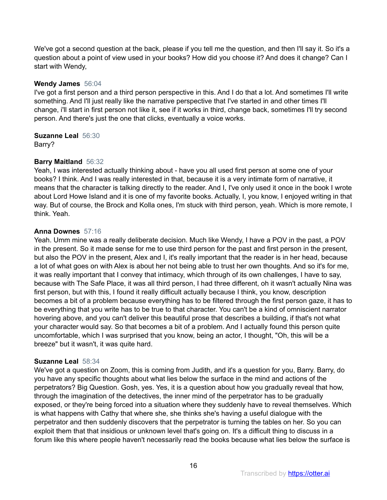We've got a second question at the back, please if you tell me the question, and then I'll say it. So it's a question about a point of view used in your books? How did you choose it? And does it change? Can I start with Wendy,

# **Wendy James** 56:04

I've got a first person and a third person perspective in this. And I do that a lot. And sometimes I'll write something. And I'll just really like the narrative perspective that I've started in and other times I'll change, i'll start in first person not like it, see if it works in third, change back, sometimes I'll try second person. And there's just the one that clicks, eventually a voice works.

**Suzanne Leal** 56:30

Barry?

# **Barry Maitland** 56:32

Yeah, I was interested actually thinking about - have you all used first person at some one of your books? I think. And I was really interested in that, because it is a very intimate form of narrative, it means that the character is talking directly to the reader. And I, I've only used it once in the book I wrote about Lord Howe Island and it is one of my favorite books. Actually, I, you know, I enjoyed writing in that way. But of course, the Brock and Kolla ones, I'm stuck with third person, yeah. Which is more remote, I think. Yeah.

# **Anna Downes** 57:16

Yeah. Umm mine was a really deliberate decision. Much like Wendy, I have a POV in the past, a POV in the present. So it made sense for me to use third person for the past and first person in the present, but also the POV in the present, Alex and I, it's really important that the reader is in her head, because a lot of what goes on with Alex is about her not being able to trust her own thoughts. And so it's for me, it was really important that I convey that intimacy, which through of its own challenges, I have to say, because with The Safe Place, it was all third person, I had three different, oh it wasn't actually Nina was first person, but with this, I found it really difficult actually because I think, you know, description becomes a bit of a problem because everything has to be filtered through the first person gaze, it has to be everything that you write has to be true to that character. You can't be a kind of omniscient narrator hovering above, and you can't deliver this beautiful prose that describes a building, if that's not what your character would say. So that becomes a bit of a problem. And I actually found this person quite uncomfortable, which I was surprised that you know, being an actor, I thought, "Oh, this will be a breeze" but it wasn't, it was quite hard.

## **Suzanne Leal** 58:34

We've got a question on Zoom, this is coming from Judith, and it's a question for you, Barry. Barry, do you have any specific thoughts about what lies below the surface in the mind and actions of the perpetrators? Big Question. Gosh, yes. Yes, it is a question about how you gradually reveal that how, through the imagination of the detectives, the inner mind of the perpetrator has to be gradually exposed, or they're being forced into a situation where they suddenly have to reveal themselves. Which is what happens with Cathy that where she, she thinks she's having a useful dialogue with the perpetrator and then suddenly discovers that the perpetrator is turning the tables on her. So you can exploit them that that insidious or unknown level that's going on. It's a difficult thing to discuss in a forum like this where people haven't necessarily read the books because what lies below the surface is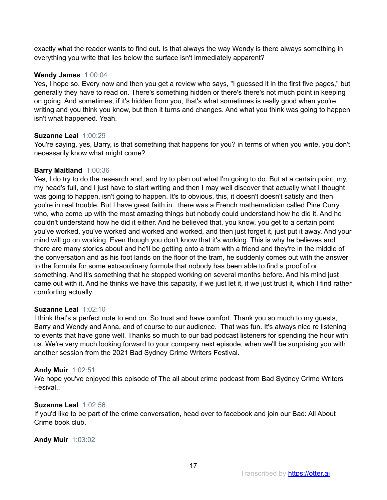exactly what the reader wants to find out. Is that always the way Wendy is there always something in everything you write that lies below the surface isn't immediately apparent?

# **Wendy James** 1:00:04

Yes, I hope so. Every now and then you get a review who says, "I guessed it in the first five pages," but generally they have to read on. There's something hidden or there's there's not much point in keeping on going. And sometimes, if it's hidden from you, that's what sometimes is really good when you're writing and you think you know, but then it turns and changes. And what you think was going to happen isn't what happened. Yeah.

# **Suzanne Leal** 1:00:29

You're saying, yes, Barry, is that something that happens for you? in terms of when you write, you don't necessarily know what might come?

# **Barry Maitland** 1:00:36

Yes, I do try to do the research and, and try to plan out what I'm going to do. But at a certain point, my, my head's full, and I just have to start writing and then I may well discover that actually what I thought was going to happen, isn't going to happen. It's to obvious, this, it doesn't doesn't satisfy and then you're in real trouble. But I have great faith in...there was a French mathematician called Pine Curry, who, who come up with the most amazing things but nobody could understand how he did it. And he couldn't understand how he did it either. And he believed that, you know, you get to a certain point you've worked, you've worked and worked and worked, and then just forget it, just put it away. And your mind will go on working. Even though you don't know that it's working. This is why he believes and there are many stories about and he'll be getting onto a tram with a friend and they're in the middle of the conversation and as his foot lands on the floor of the tram, he suddenly comes out with the answer to the formula for some extraordinary formula that nobody has been able to find a proof of or something. And it's something that he stopped working on several months before. And his mind just came out with it. And he thinks we have this capacity, if we just let it, if we just trust it, which I find rather comforting actually.

# **Suzanne Leal** 1:02:10

I think that's a perfect note to end on. So trust and have comfort. Thank you so much to my guests, Barry and Wendy and Anna, and of course to our audience. That was fun. It's always nice re listening to events that have gone well. Thanks so much to our bad podcast listeners for spending the hour with us. We're very much looking forward to your company next episode, when we'll be surprising you with another session from the 2021 Bad Sydney Crime Writers Festival.

# **Andy Muir** 1:02:51

We hope you've enjoyed this episode of The all about crime podcast from Bad Sydney Crime Writers Fesival..

# **Suzanne Leal** 1:02:56

If you'd like to be part of the crime conversation, head over to facebook and join our Bad: All About Crime book club.

# **Andy Muir** 1:03:02